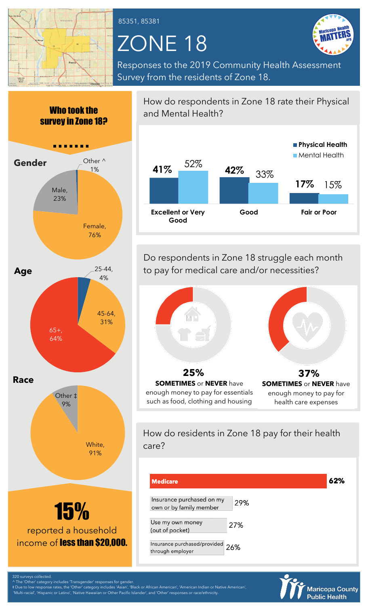

85351, 85381

## ZONE 18



Responses to the 2019 Community Health Assessment Survey from the residents of Zone 18.



How do respondents in Zone 18 rate their Physical and Mental Health?



Do respondents in Zone 18 struggle each month to pay for medical care and/or necessities?



such as food, clothing and housing health care expenses

How do residents in Zone 18 pay for their health care?

| <b>Medicare</b>                                      |     | 62% |
|------------------------------------------------------|-----|-----|
| Insurance purchased on my<br>own or by family member | 29% |     |
| Use my own money<br>(out of pocket)                  | 27% |     |
| Insurance purchased/provided 26%<br>through employer |     |     |



The 'Other' category includes 'Transgender' responses for gender.

‡ Due to low response rates, the 'Other' category includes 'Asian', 'Black or African American', 'American Indian or Native American', 'Multi-racial', 'Hispanic or Latino', 'Native Hawaiian or Other Pacific Islander', and 'Other' responses or race/ethnicity.